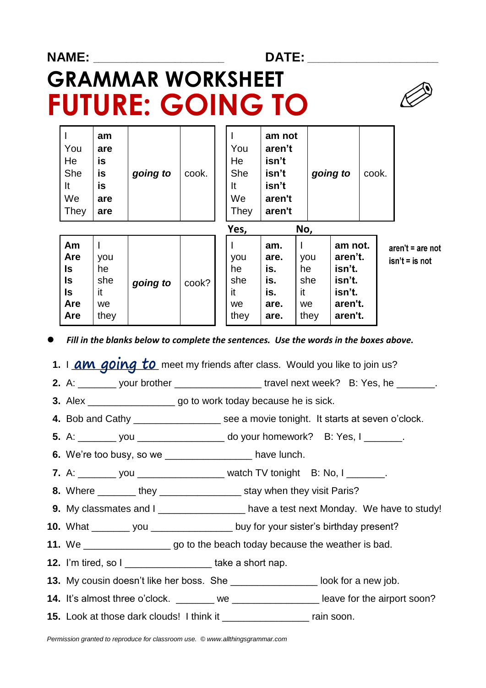| <b>NAME:</b> |           |           |                          |       |           | <b>DATE:</b>            |          |       |  |
|--------------|-----------|-----------|--------------------------|-------|-----------|-------------------------|----------|-------|--|
|              |           |           | <b>GRAMMAR WORKSHEET</b> |       |           | <b>FUTURE: GOING TO</b> |          |       |  |
|              | You       | am<br>are |                          |       | You       | am not<br>aren't        |          |       |  |
|              | He<br>She | is<br>is  | going to                 | cook. | He<br>She | isn't<br>isn't          | going to | cook. |  |

| We<br>They                                                     | are<br>are                           |          |       | We<br>They                           | aren't<br>aren't                                 |                                      |                                                                        |                                        |
|----------------------------------------------------------------|--------------------------------------|----------|-------|--------------------------------------|--------------------------------------------------|--------------------------------------|------------------------------------------------------------------------|----------------------------------------|
|                                                                |                                      |          |       | Yes,                                 |                                                  | No,                                  |                                                                        |                                        |
| Am<br><b>Are</b><br>ls<br>ls<br>ls<br><b>Are</b><br><b>Are</b> | you<br>he<br>she<br>it<br>we<br>they | going to | cook? | you<br>he<br>she<br>it<br>we<br>they | am.<br>are.<br>is.<br>is.<br>is.<br>are.<br>are. | you<br>he<br>she<br>it<br>we<br>they | am not.<br>aren't.<br>isn't.<br>isn't.<br>isn't.<br>aren't.<br>aren't. | $aren't = are not$<br>$isn't = is not$ |

*Fill in the blanks below to complete the sentences. Use the words in the boxes above.*

**1.** I **am going to** meet my friends after class. Would you like to join us?

**2.** A: \_\_\_\_\_\_\_ your brother \_\_\_\_\_\_\_\_\_\_\_\_\_\_\_\_\_\_ travel next week? B: Yes, he \_\_\_\_\_\_\_.

 **3.** Alex \_\_\_\_\_\_\_\_\_\_\_\_\_\_\_\_ go to work today because he is sick.

 **4.** Bob and Cathy \_\_\_\_\_\_\_\_\_\_\_\_\_\_\_\_ see a movie tonight. It starts at seven o'clock.

**5.** A: you wou are do your homework? B: Yes, I can be a set of the set of the set of the set of the set of the set of the set of the set of the set of the set of the set of the set of the set of the set of the set of the

**6.** We're too busy, so we **have lunch.** 

It **is** It **isn't**

**7.** A: \_\_\_\_\_\_\_ you \_\_\_\_\_\_\_\_\_\_\_\_\_\_\_\_\_\_ watch TV tonight B: No, I \_\_\_\_\_\_\_.

**8.** Where \_\_\_\_\_\_\_ they \_\_\_\_\_\_\_\_\_\_\_\_\_\_\_ stay when they visit Paris?

**9.** My classmates and I \_\_\_\_\_\_\_\_\_\_\_\_\_\_\_\_\_ have a test next Monday. We have to study!

- **10.** What \_\_\_\_\_\_\_ you \_\_\_\_\_\_\_\_\_\_\_\_\_\_\_ buy for your sister's birthday present?
- **11.** We \_\_\_\_\_\_\_\_\_\_\_\_\_\_\_\_ go to the beach today because the weather is bad.
- **12.** I'm tired, so I \_\_\_\_\_\_\_\_\_\_\_\_\_\_\_\_\_\_\_\_take a short nap.

**13.** My cousin doesn't like her boss. She \_\_\_\_\_\_\_\_\_\_\_\_\_\_\_\_ look for a new job.

- **14.** It's almost three o'clock. \_\_\_\_\_\_\_ we \_\_\_\_\_\_\_\_\_\_\_\_\_\_\_\_\_\_\_ leave for the airport soon?
- **15.** Look at those dark clouds! I think it \_\_\_\_\_\_\_\_\_\_\_\_\_\_\_\_ rain soon.